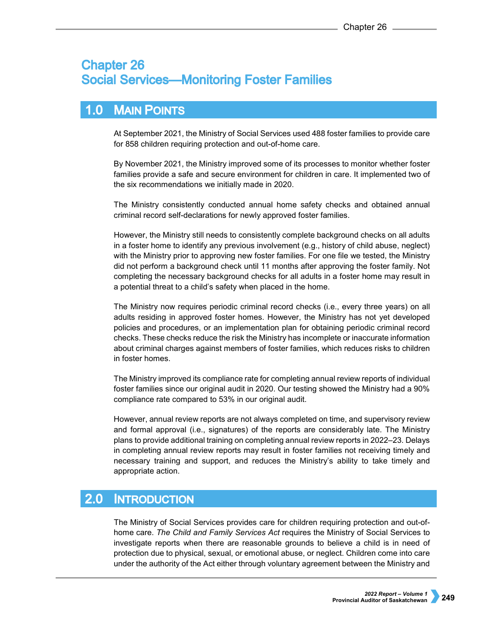# **Chapter 26 Social Services-Monitoring Foster Families**

# 1.0 MAIN POINTS

At September 2021, the Ministry of Social Services used 488 foster families to provide care for 858 children requiring protection and out-of-home care.

By November 2021, the Ministry improved some of its processes to monitor whether foster families provide a safe and secure environment for children in care. It implemented two of the six recommendations we initially made in 2020.

The Ministry consistently conducted annual home safety checks and obtained annual criminal record self-declarations for newly approved foster families.

However, the Ministry still needs to consistently complete background checks on all adults in a foster home to identify any previous involvement (e.g., history of child abuse, neglect) with the Ministry prior to approving new foster families. For one file we tested, the Ministry did not perform a background check until 11 months after approving the foster family. Not completing the necessary background checks for all adults in a foster home may result in a potential threat to a child's safety when placed in the home.

The Ministry now requires periodic criminal record checks (i.e., every three years) on all adults residing in approved foster homes. However, the Ministry has not yet developed policies and procedures, or an implementation plan for obtaining periodic criminal record checks. These checks reduce the risk the Ministry has incomplete or inaccurate information about criminal charges against members of foster families, which reduces risks to children in foster homes.

The Ministry improved its compliance rate for completing annual review reports of individual foster families since our original audit in 2020. Our testing showed the Ministry had a 90% compliance rate compared to 53% in our original audit.

However, annual review reports are not always completed on time, and supervisory review and formal approval (i.e., signatures) of the reports are considerably late. The Ministry plans to provide additional training on completing annual review reports in 2022–23. Delays in completing annual review reports may result in foster families not receiving timely and necessary training and support, and reduces the Ministry's ability to take timely and appropriate action.

### $2.0<sub>1</sub>$ **INTRODUCTION**

The Ministry of Social Services provides care for children requiring protection and out-ofhome care. *The Child and Family Services Act* requires the Ministry of Social Services to investigate reports when there are reasonable grounds to believe a child is in need of protection due to physical, sexual, or emotional abuse, or neglect. Children come into care under the authority of the Act either through voluntary agreement between the Ministry and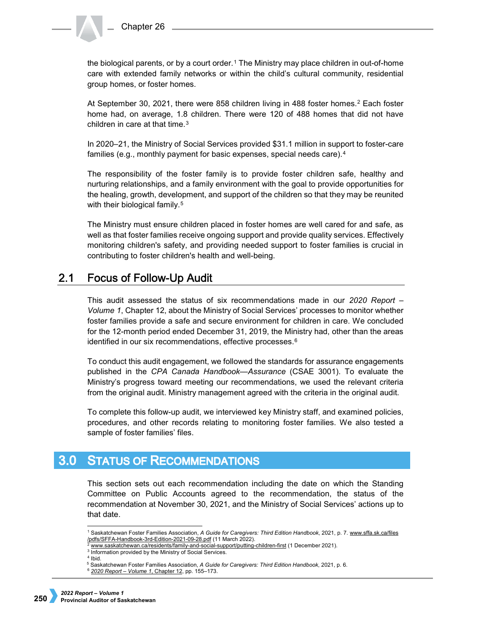the biological parents, or by a court order.<sup>[1](#page-1-0)</sup> The Ministry may place children in out-of-home care with extended family networks or within the child's cultural community, residential group homes, or foster homes.

At September 30, [2](#page-1-1)021, there were 858 children living in 488 foster homes.<sup>2</sup> Each foster home had, on average, 1.8 children. There were 120 of 488 homes that did not have children in care at that time.<sup>[3](#page-1-2)</sup>

In 2020–21, the Ministry of Social Services provided \$31.1 million in support to foster-care families (e.g., monthly payment for basic expenses, special needs care).[4](#page-1-3)

The responsibility of the foster family is to provide foster children safe, healthy and nurturing relationships, and a family environment with the goal to provide opportunities for the healing, growth, development, and support of the children so that they may be reunited with their biological family.<sup>[5](#page-1-4)</sup>

The Ministry must ensure children placed in foster homes are well cared for and safe, as well as that foster families receive ongoing support and provide quality services. Effectively monitoring children's safety, and providing needed support to foster families is crucial in contributing to foster children's health and well-being.

### $2.1$ **Focus of Follow-Up Audit**

This audit assessed the status of six recommendations made in our *2020 Report – Volume 1*, Chapter 12, about the Ministry of Social Services' processes to monitor whether foster families provide a safe and secure environment for children in care. We concluded for the 12-month period ended December 31, 2019, the Ministry had, other than the areas identified in our six recommendations, effective processes.<sup>[6](#page-1-5)</sup>

To conduct this audit engagement, we followed the standards for assurance engagements published in the *CPA Canada Handbook—Assurance* (CSAE 3001). To evaluate the Ministry's progress toward meeting our recommendations, we used the relevant criteria from the original audit. Ministry management agreed with the criteria in the original audit.

To complete this follow-up audit, we interviewed key Ministry staff, and examined policies, procedures, and other records relating to monitoring foster families. We also tested a sample of foster families' files.

### **STATUS OF RECOMMENDATIONS**  $3.0<sub>2</sub>$

This section sets out each recommendation including the date on which the Standing Committee on Public Accounts agreed to the recommendation, the status of the recommendation at November 30, 2021, and the Ministry of Social Services' actions up to that date.

<span id="page-1-5"></span><span id="page-1-4"></span><span id="page-1-3"></span><span id="page-1-2"></span><span id="page-1-1"></span><span id="page-1-0"></span><sup>4</sup> Ibid.

 <sup>1</sup> Saskatchewan Foster Families Association, *A Guide for Caregivers: Third Edition Handbook*, 2021, p. 7. [www.sffa.sk.ca/files](http://www.sffa.sk.ca/files/pdfs/SFFA-Handbook-3rd-Edition-2021-09-28.pdf)  [/pdfs/SFFA-Handbook-3rd-Edition-2021-09-28.pdf](http://www.sffa.sk.ca/files/pdfs/SFFA-Handbook-3rd-Edition-2021-09-28.pdf) (11 March 2022).

<sup>2</sup> [www.saskatchewan.ca/residents/family-and-social-support/putting-children-first](http://www.saskatchewan.ca/residents/family-and-social-support/putting-children-first) (1 December 2021).

<sup>&</sup>lt;sup>3</sup> Information provided by the Ministry of Social Services.

<sup>5</sup> Saskatchewan Foster Families Association, *A Guide for Caregivers: Third Edition Handbook*, 2021, p. 6.

<sup>6</sup> *[2020 Report –](https://auditor.sk.ca/pub/publications/public_reports/2020/Volume_1/CH%2012%20-%20Social%20Services%E2%80%94Monitoring%20Foster%20Families.pdf) Volume 1*, Chapter 12, pp. 155–173.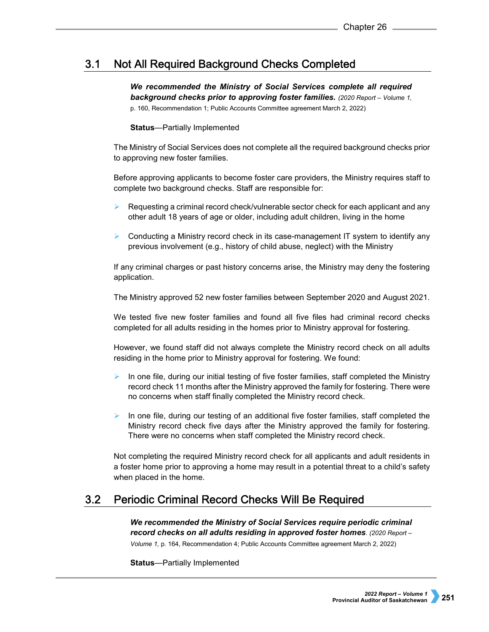### Not All Required Background Checks Completed  $3.1$

*We recommended the Ministry of Social Services complete all required background checks prior to approving foster families. (2020 Report – Volume 1,*  p. 160, Recommendation 1; Public Accounts Committee agreement March 2, 2022)

## **Status**—Partially Implemented

The Ministry of Social Services does not complete all the required background checks prior to approving new foster families.

Before approving applicants to become foster care providers, the Ministry requires staff to complete two background checks. Staff are responsible for:

- Requesting a criminal record check/vulnerable sector check for each applicant and any other adult 18 years of age or older, including adult children, living in the home
- Conducting a Ministry record check in its case-management IT system to identify any previous involvement (e.g., history of child abuse, neglect) with the Ministry

If any criminal charges or past history concerns arise, the Ministry may deny the fostering application.

The Ministry approved 52 new foster families between September 2020 and August 2021.

We tested five new foster families and found all five files had criminal record checks completed for all adults residing in the homes prior to Ministry approval for fostering.

However, we found staff did not always complete the Ministry record check on all adults residing in the home prior to Ministry approval for fostering. We found:

- In one file, during our initial testing of five foster families, staff completed the Ministry record check 11 months after the Ministry approved the family for fostering. There were no concerns when staff finally completed the Ministry record check.
- In one file, during our testing of an additional five foster families, staff completed the Ministry record check five days after the Ministry approved the family for fostering. There were no concerns when staff completed the Ministry record check.

Not completing the required Ministry record check for all applicants and adult residents in a foster home prior to approving a home may result in a potential threat to a child's safety when placed in the home.

### $3.2$ **Periodic Criminal Record Checks Will Be Required**

*We recommended the Ministry of Social Services require periodic criminal record checks on all adults residing in approved foster homes. (2020 Report – Volume 1,* p. 164, Recommendation 4; Public Accounts Committee agreement March 2, 2022)

**Status**—Partially Implemented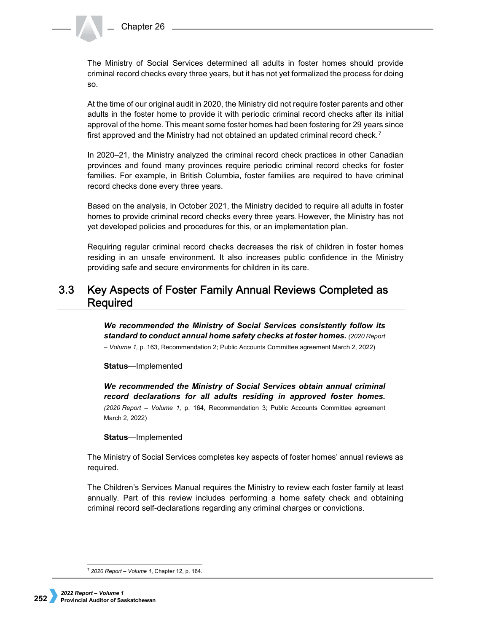The Ministry of Social Services determined all adults in foster homes should provide criminal record checks every three years, but it has not yet formalized the process for doing so.

At the time of our original audit in 2020, the Ministry did not require foster parents and other adults in the foster home to provide it with periodic criminal record checks after its initial approval of the home. This meant some foster homes had been fostering for 29 years since first approved and the Ministry had not obtained an updated criminal record check.<sup>[7](#page-3-0)</sup>

In 2020–21, the Ministry analyzed the criminal record check practices in other Canadian provinces and found many provinces require periodic criminal record checks for foster families. For example, in British Columbia, foster families are required to have criminal record checks done every three years.

Based on the analysis, in October 2021, the Ministry decided to require all adults in foster homes to provide criminal record checks every three years. However, the Ministry has not yet developed policies and procedures for this, or an implementation plan.

Requiring regular criminal record checks decreases the risk of children in foster homes residing in an unsafe environment. It also increases public confidence in the Ministry providing safe and secure environments for children in its care.

### $3.3<sub>2</sub>$ Key Aspects of Foster Family Annual Reviews Completed as **Required**

*We recommended the Ministry of Social Services consistently follow its standard to conduct annual home safety checks at foster homes. (2020 Report – Volume 1,* p. 163, Recommendation 2; Public Accounts Committee agreement March 2, 2022)

**Status**—Implemented

*We recommended the Ministry of Social Services obtain annual criminal record declarations for all adults residing in approved foster homes. (2020 Report – Volume 1,* p. 164, Recommendation 3; Public Accounts Committee agreement March 2, 2022)

**Status**—Implemented

The Ministry of Social Services completes key aspects of foster homes' annual reviews as required.

The Children's Services Manual requires the Ministry to review each foster family at least annually. Part of this review includes performing a home safety check and obtaining criminal record self-declarations regarding any criminal charges or convictions.

<span id="page-3-0"></span> <sup>7</sup> *[2020 Report –](https://auditor.sk.ca/pub/publications/public_reports/2020/Volume_1/CH%2012%20-%20Social%20Services%E2%80%94Monitoring%20Foster%20Families.pdf) Volume 1*, Chapter 12, p. 164.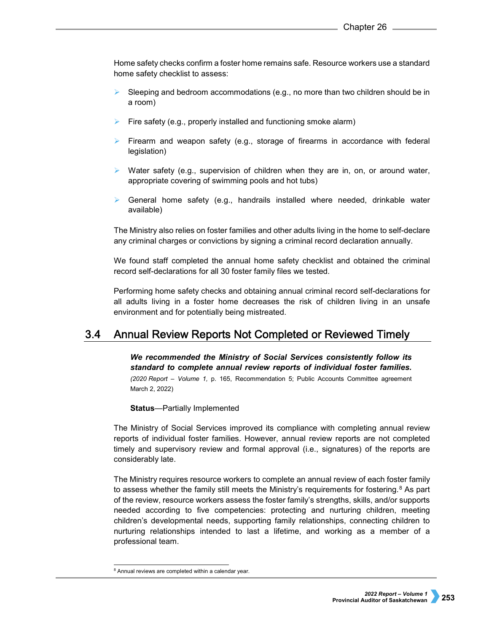Home safety checks confirm a foster home remains safe. Resource workers use a standard home safety checklist to assess:

- Sleeping and bedroom accommodations (e.g., no more than two children should be in a room)
- Fire safety (e.g., properly installed and functioning smoke alarm)
- Firearm and weapon safety (e.g., storage of firearms in accordance with federal legislation)
- $\triangleright$  Water safety (e.g., supervision of children when they are in, on, or around water, appropriate covering of swimming pools and hot tubs)
- General home safety (e.g., handrails installed where needed, drinkable water available)

The Ministry also relies on foster families and other adults living in the home to self-declare any criminal charges or convictions by signing a criminal record declaration annually.

We found staff completed the annual home safety checklist and obtained the criminal record self-declarations for all 30 foster family files we tested.

Performing home safety checks and obtaining annual criminal record self-declarations for all adults living in a foster home decreases the risk of children living in an unsafe environment and for potentially being mistreated.

#### $3.4$ Annual Review Reports Not Completed or Reviewed Timely

*We recommended the Ministry of Social Services consistently follow its standard to complete annual review reports of individual foster families. (2020 Report – Volume 1,* p. 165, Recommendation 5; Public Accounts Committee agreement March 2, 2022)

**Status**—Partially Implemented

The Ministry of Social Services improved its compliance with completing annual review reports of individual foster families. However, annual review reports are not completed timely and supervisory review and formal approval (i.e., signatures) of the reports are considerably late.

The Ministry requires resource workers to complete an annual review of each foster family to assess whether the family still meets the Ministry's requirements for fostering.<sup>[8](#page-4-0)</sup> As part of the review, resource workers assess the foster family's strengths, skills, and/or supports needed according to five competencies: protecting and nurturing children, meeting children's developmental needs, supporting family relationships, connecting children to nurturing relationships intended to last a lifetime, and working as a member of a professional team.

<span id="page-4-0"></span><sup>&</sup>lt;sup>8</sup> Annual reviews are completed within a calendar year.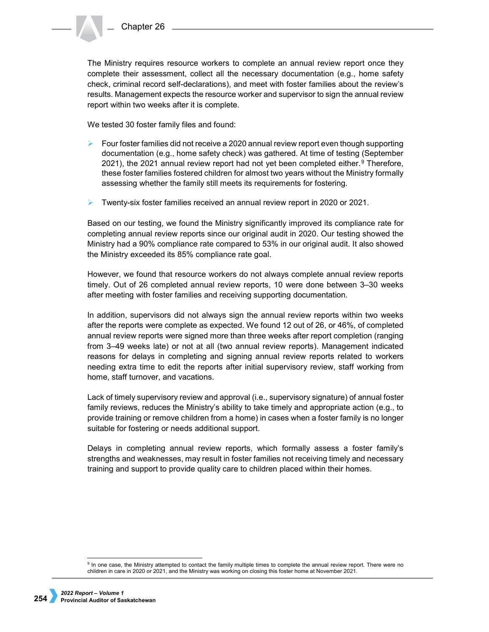The Ministry requires resource workers to complete an annual review report once they complete their assessment, collect all the necessary documentation (e.g., home safety check, criminal record self-declarations), and meet with foster families about the review's results. Management expects the resource worker and supervisor to sign the annual review report within two weeks after it is complete.

We tested 30 foster family files and found:

- $\triangleright$  Four foster families did not receive a 2020 annual review report even though supporting documentation (e.g., home safety check) was gathered. At time of testing (September 2021), the 2021 annual review report had not yet been completed either. $9$  Therefore, these foster families fostered children for almost two years without the Ministry formally assessing whether the family still meets its requirements for fostering.
- $\triangleright$  Twenty-six foster families received an annual review report in 2020 or 2021.

Based on our testing, we found the Ministry significantly improved its compliance rate for completing annual review reports since our original audit in 2020. Our testing showed the Ministry had a 90% compliance rate compared to 53% in our original audit. It also showed the Ministry exceeded its 85% compliance rate goal.

However, we found that resource workers do not always complete annual review reports timely. Out of 26 completed annual review reports, 10 were done between 3–30 weeks after meeting with foster families and receiving supporting documentation.

In addition, supervisors did not always sign the annual review reports within two weeks after the reports were complete as expected. We found 12 out of 26, or 46%, of completed annual review reports were signed more than three weeks after report completion (ranging from 3–49 weeks late) or not at all (two annual review reports). Management indicated reasons for delays in completing and signing annual review reports related to workers needing extra time to edit the reports after initial supervisory review, staff working from home, staff turnover, and vacations.

Lack of timely supervisory review and approval (i.e., supervisory signature) of annual foster family reviews, reduces the Ministry's ability to take timely and appropriate action (e.g., to provide training or remove children from a home) in cases when a foster family is no longer suitable for fostering or needs additional support.

Delays in completing annual review reports, which formally assess a foster family's strengths and weaknesses, may result in foster families not receiving timely and necessary training and support to provide quality care to children placed within their homes.

<span id="page-5-0"></span><sup>9</sup> In one case, the Ministry attempted to contact the family multiple times to complete the annual review report. There were no children in care in 2020 or 2021, and the Ministry was working on closing this foster home at November 2021.